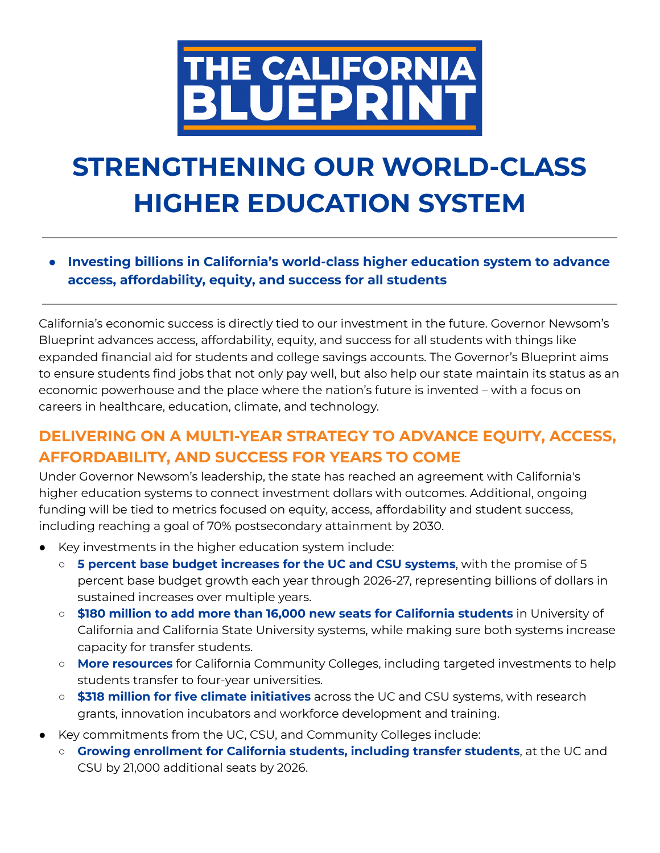

## **STRENGTHENING OUR WORLD-CLASS HIGHER EDUCATION SYSTEM**

**● Investing billions in California's world-class higher education system to advance access, affordability, equity, and success for all students**

California's economic success is directly tied to our investment in the future. Governor Newsom's Blueprint advances access, affordability, equity, and success for all students with things like expanded financial aid for students and college savings accounts. The Governor's Blueprint aims to ensure students find jobs that not only pay well, but also help our state maintain its status as an economic powerhouse and the place where the nation's future is invented – with a focus on careers in healthcare, education, climate, and technology.

## **DELIVERING ON A MULTI-YEAR STRATEGY TO ADVANCE EQUITY, ACCESS, AFFORDABILITY, AND SUCCESS FOR YEARS TO COME**

Under Governor Newsom's leadership, the state has reached an agreement with California's higher education systems to connect investment dollars with outcomes. Additional, ongoing funding will be tied to metrics focused on equity, access, affordability and student success, including reaching a goal of 70% postsecondary attainment by 2030.

- Key investments in the higher education system include:
	- **5 percent base budget increases for the UC and CSU systems**, with the promise of 5 percent base budget growth each year through 2026-27, representing billions of dollars in sustained increases over multiple years.
	- **\$180 million to add more than 16,000 new seats for California students** in University of California and California State University systems, while making sure both systems increase capacity for transfer students.
	- **More resources** for California Community Colleges, including targeted investments to help students transfer to four-year universities.
	- **\$318 million for five climate initiatives** across the UC and CSU systems, with research grants, innovation incubators and workforce development and training.
- Key commitments from the UC, CSU, and Community Colleges include:
	- **Growing enrollment for California students, including transfer students**, at the UC and CSU by 21,000 additional seats by 2026.